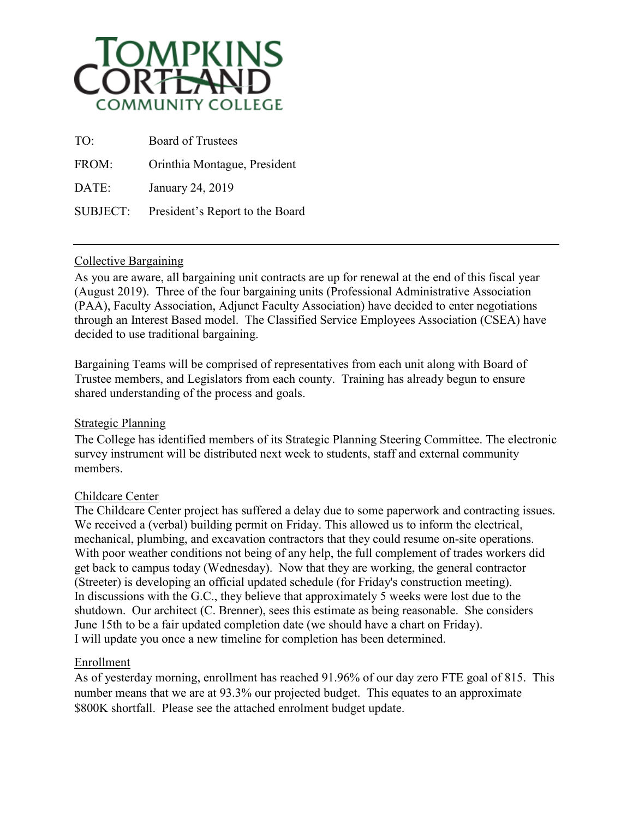

| TO <sup>1</sup> | <b>Board of Trustees</b>        |
|-----------------|---------------------------------|
| FROM:           | Orinthia Montague, President    |
| DATE:           | January 24, 2019                |
| SUBJECT:        | President's Report to the Board |

# Collective Bargaining

As you are aware, all bargaining unit contracts are up for renewal at the end of this fiscal year (August 2019). Three of the four bargaining units (Professional Administrative Association (PAA), Faculty Association, Adjunct Faculty Association) have decided to enter negotiations through an Interest Based model. The Classified Service Employees Association (CSEA) have decided to use traditional bargaining.

Bargaining Teams will be comprised of representatives from each unit along with Board of Trustee members, and Legislators from each county. Training has already begun to ensure shared understanding of the process and goals.

# Strategic Planning

The College has identified members of its Strategic Planning Steering Committee. The electronic survey instrument will be distributed next week to students, staff and external community members.

# Childcare Center

The Childcare Center project has suffered a delay due to some paperwork and contracting issues. We received a (verbal) building permit on Friday. This allowed us to inform the electrical, mechanical, plumbing, and excavation contractors that they could resume on-site operations. With poor weather conditions not being of any help, the full complement of trades workers did get back to campus today (Wednesday). Now that they are working, the general contractor (Streeter) is developing an official updated schedule (for Friday's construction meeting). In discussions with the G.C., they believe that approximately 5 weeks were lost due to the shutdown. Our architect (C. Brenner), sees this estimate as being reasonable. She considers June 15th to be a fair updated completion date (we should have a chart on Friday). I will update you once a new timeline for completion has been determined.

# Enrollment

As of yesterday morning, enrollment has reached 91.96% of our day zero FTE goal of 815. This number means that we are at 93.3% our projected budget. This equates to an approximate \$800K shortfall. Please see the attached enrolment budget update.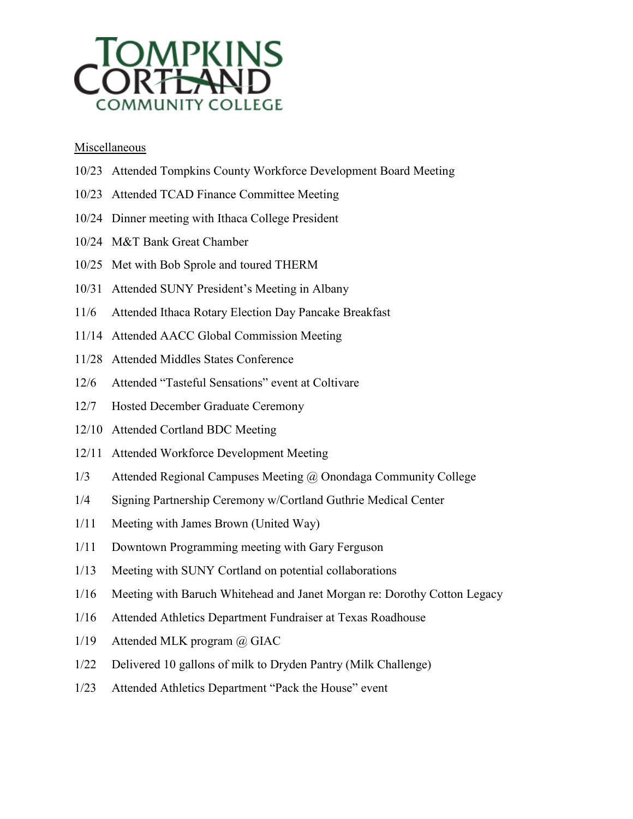

### **Miscellaneous**

- 10/23 Attended Tompkins County Workforce Development Board Meeting
- 10/23 Attended TCAD Finance Committee Meeting
- 10/24 Dinner meeting with Ithaca College President
- 10/24 M&T Bank Great Chamber
- 10/25 Met with Bob Sprole and toured THERM
- 10/31 Attended SUNY President's Meeting in Albany
- 11/6 Attended Ithaca Rotary Election Day Pancake Breakfast
- 11/14 Attended AACC Global Commission Meeting
- 11/28 Attended Middles States Conference
- 12/6 Attended "Tasteful Sensations" event at Coltivare
- 12/7 Hosted December Graduate Ceremony
- 12/10 Attended Cortland BDC Meeting
- 12/11 Attended Workforce Development Meeting
- 1/3 Attended Regional Campuses Meeting @ Onondaga Community College
- 1/4 Signing Partnership Ceremony w/Cortland Guthrie Medical Center
- 1/11 Meeting with James Brown (United Way)
- 1/11 Downtown Programming meeting with Gary Ferguson
- 1/13 Meeting with SUNY Cortland on potential collaborations
- 1/16 Meeting with Baruch Whitehead and Janet Morgan re: Dorothy Cotton Legacy
- 1/16 Attended Athletics Department Fundraiser at Texas Roadhouse
- 1/19 Attended MLK program @ GIAC
- 1/22 Delivered 10 gallons of milk to Dryden Pantry (Milk Challenge)
- 1/23 Attended Athletics Department "Pack the House" event